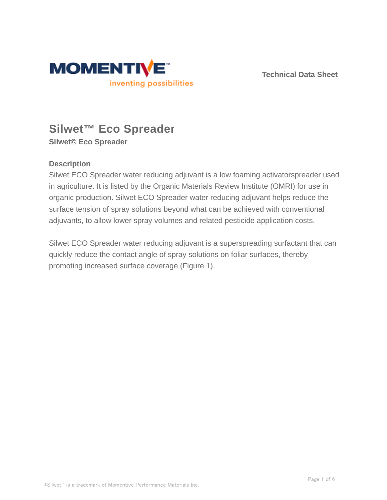

**Technical Data Sheet**

# **Silwet™ Eco Spreader**

**Silwet© Eco Spreader**

### **Description**

Silwet ECO Spreader water reducing adjuvant is a low foaming activatorspreader used in agriculture. It is listed by the Organic Materials Review Institute (OMRI) for use in organic production. Silwet ECO Spreader water reducing adjuvant helps reduce the surface tension of spray solutions beyond what can be achieved with conventional adjuvants, to allow lower spray volumes and related pesticide application costs.

Silwet ECO Spreader water reducing adjuvant is a superspreading surfactant that can quickly reduce the contact angle of spray solutions on foliar surfaces, thereby promoting increased surface coverage (Figure 1).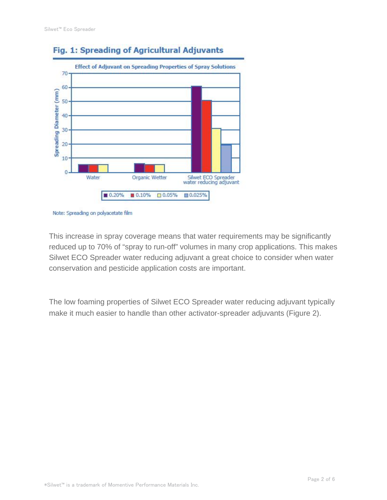

# Fig. 1: Spreading of Agricultural Adjuvants

This increase in spray coverage means that water requirements may be significantly reduced up to 70% of "spray to run-off" volumes in many crop applications. This makes Silwet ECO Spreader water reducing adjuvant a great choice to consider when water conservation and pesticide application costs are important.

The low foaming properties of Silwet ECO Spreader water reducing adjuvant typically make it much easier to handle than other activator-spreader adjuvants (Figure 2).

Note: Spreading on polyacetate film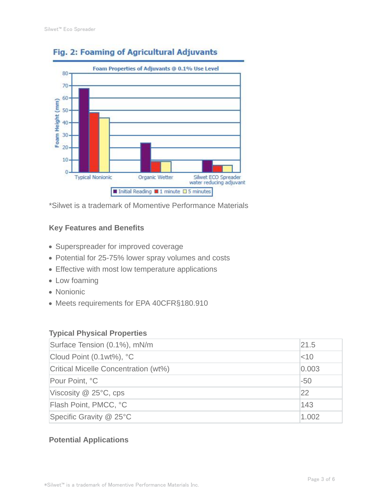

# Fig. 2: Foaming of Agricultural Adjuvants

\*Silwet is a trademark of Momentive Performance Materials

#### **Key Features and Benefits**

- Superspreader for improved coverage
- Potential for 25-75% lower spray volumes and costs
- Effective with most low temperature applications
- Low foaming
- Nonionic
- Meets requirements for EPA 40CFR§180.910

#### **Typical Physical Properties**

| Surface Tension (0.1%), mN/m         | 21.5     |
|--------------------------------------|----------|
| Cloud Point (0.1wt%), °C             | $ $ < 10 |
| Critical Micelle Concentration (wt%) | 0.003    |
| Pour Point, °C                       | $-50$    |
| Viscosity $@$ 25 $°C$ , cps          | 22       |
| Flash Point, PMCC, °C                | 143      |
| Specific Gravity @ 25°C              | 1.002    |

#### **Potential Applications**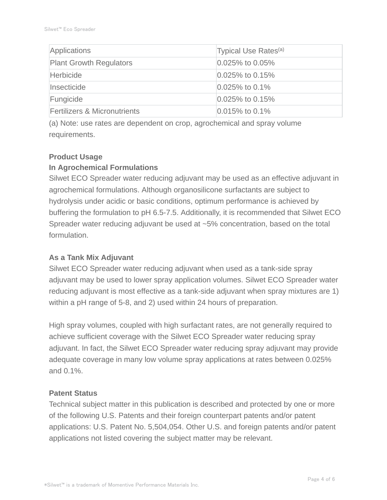| Applications                            | Typical Use Rates <sup>(a)</sup> |
|-----------------------------------------|----------------------------------|
| <b>Plant Growth Regulators</b>          | $ 0.025\%$ to 0.05%              |
| Herbicide                               | $ 0.025\%$ to 0.15%              |
| Insecticide                             | $ 0.025\%$ to 0.1%               |
| Fungicide                               | $0.025\%$ to 0.15%               |
| <b>Fertilizers &amp; Micronutrients</b> | $0.015\%$ to 0.1%                |

(a) Note: use rates are dependent on crop, agrochemical and spray volume requirements.

#### **Product Usage**

#### **In Agrochemical Formulations**

Silwet ECO Spreader water reducing adjuvant may be used as an effective adjuvant in agrochemical formulations. Although organosilicone surfactants are subject to hydrolysis under acidic or basic conditions, optimum performance is achieved by buffering the formulation to pH 6.5-7.5. Additionally, it is recommended that Silwet ECO Spreader water reducing adjuvant be used at ~5% concentration, based on the total formulation.

#### **As a Tank Mix Adjuvant**

Silwet ECO Spreader water reducing adjuvant when used as a tank-side spray adjuvant may be used to lower spray application volumes. Silwet ECO Spreader water reducing adjuvant is most effective as a tank-side adjuvant when spray mixtures are 1) within a pH range of 5-8, and 2) used within 24 hours of preparation.

High spray volumes, coupled with high surfactant rates, are not generally required to achieve sufficient coverage with the Silwet ECO Spreader water reducing spray adjuvant. In fact, the Silwet ECO Spreader water reducing spray adjuvant may provide adequate coverage in many low volume spray applications at rates between 0.025% and 0.1%.

#### **Patent Status**

Technical subject matter in this publication is described and protected by one or more of the following U.S. Patents and their foreign counterpart patents and/or patent applications: U.S. Patent No. 5,504,054. Other U.S. and foreign patents and/or patent applications not listed covering the subject matter may be relevant.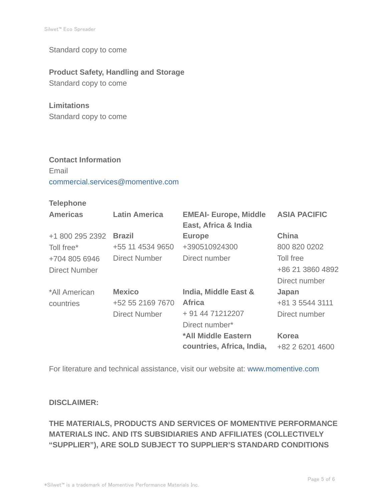Standard copy to come

#### **Product Safety, Handling and Storage**

Standard copy to come

#### **Limitations**

Standard copy to come

## **Contact Information** Email commercial.services@momentive.com

#### **Telephone**

| <b>Americas</b>      | <b>Latin America</b> | <b>EMEAI- Europe, Middle</b><br>East, Africa & India | <b>ASIA PACIFIC</b> |
|----------------------|----------------------|------------------------------------------------------|---------------------|
| +1 800 295 2392      | <b>Brazil</b>        | <b>Europe</b>                                        | China               |
| Toll free*           | +55 11 4534 9650     | +390510924300                                        | 800 820 0202        |
| +704 805 6946        | Direct Number        | Direct number                                        | Toll free           |
| <b>Direct Number</b> |                      |                                                      | +86 21 3860 4892    |
|                      |                      |                                                      | Direct number       |
| *All American        | <b>Mexico</b>        | India, Middle East &                                 | Japan               |
| countries            | +52 55 2169 7670     | <b>Africa</b>                                        | +81 3 5544 3111     |
|                      | <b>Direct Number</b> | + 91 44 71212207                                     | Direct number       |
|                      |                      | Direct number*                                       |                     |
|                      |                      | *All Middle Eastern                                  | <b>Korea</b>        |
|                      |                      | countries, Africa, India,                            | +82 2 6201 4600     |

For literature and technical assistance, visit our website at: www.momentive.com

#### **DISCLAIMER:**

# **THE MATERIALS, PRODUCTS AND SERVICES OF MOMENTIVE PERFORMANCE MATERIALS INC. AND ITS SUBSIDIARIES AND AFFILIATES (COLLECTIVELY "SUPPLIER"), ARE SOLD SUBJECT TO SUPPLIER'S STANDARD CONDITIONS**